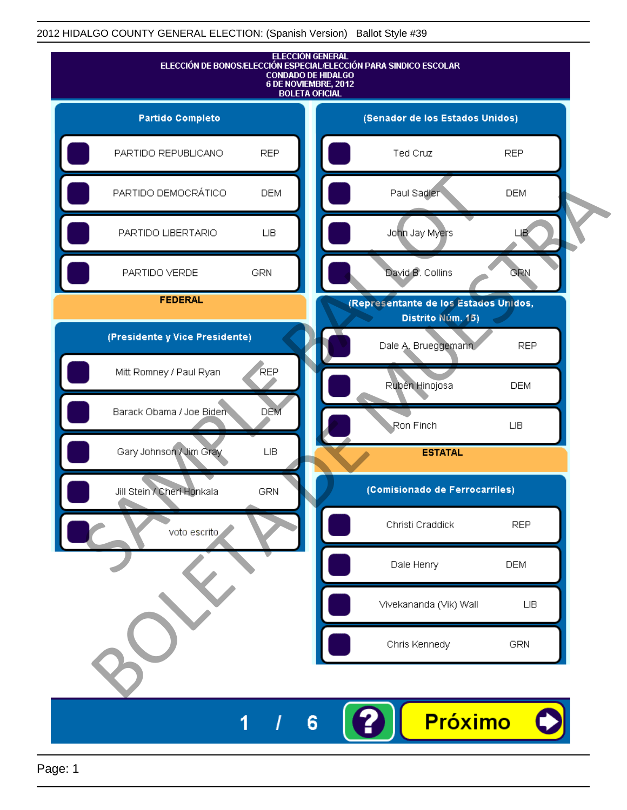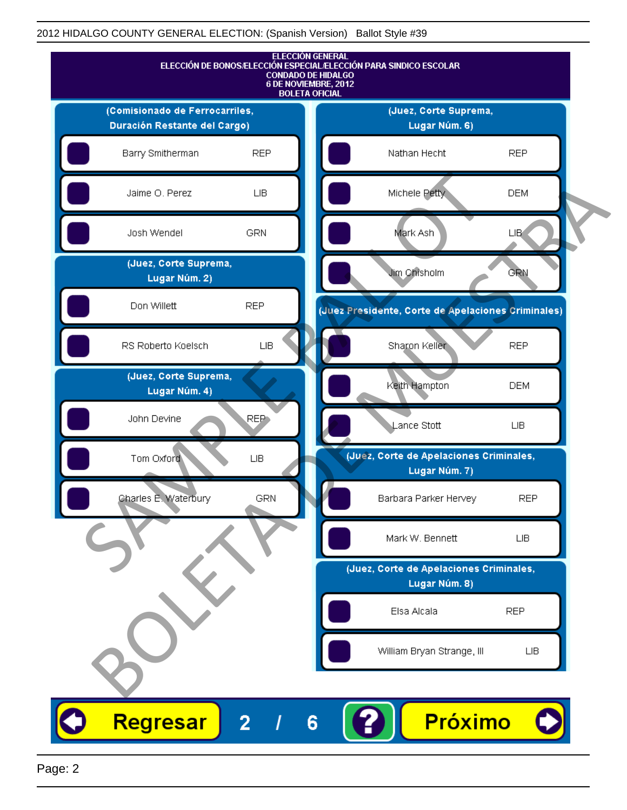

Page: 2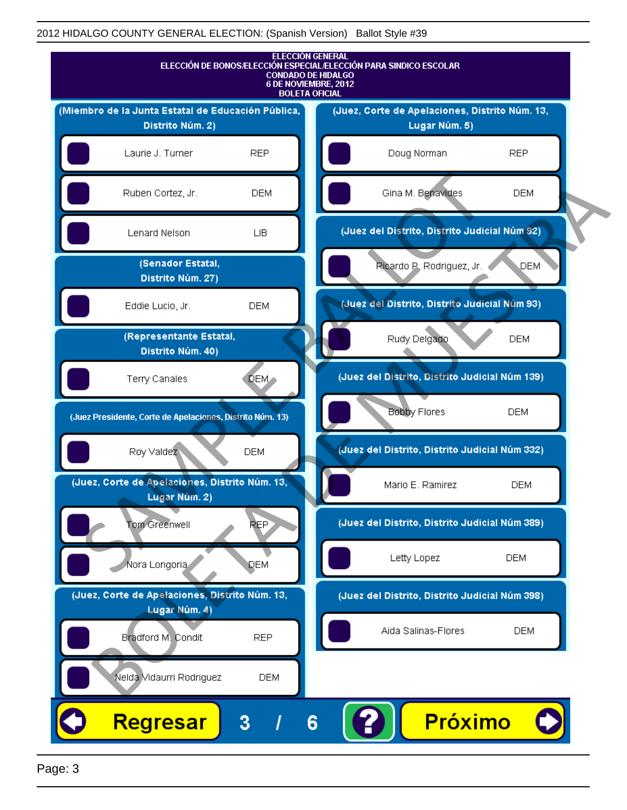

Page: 3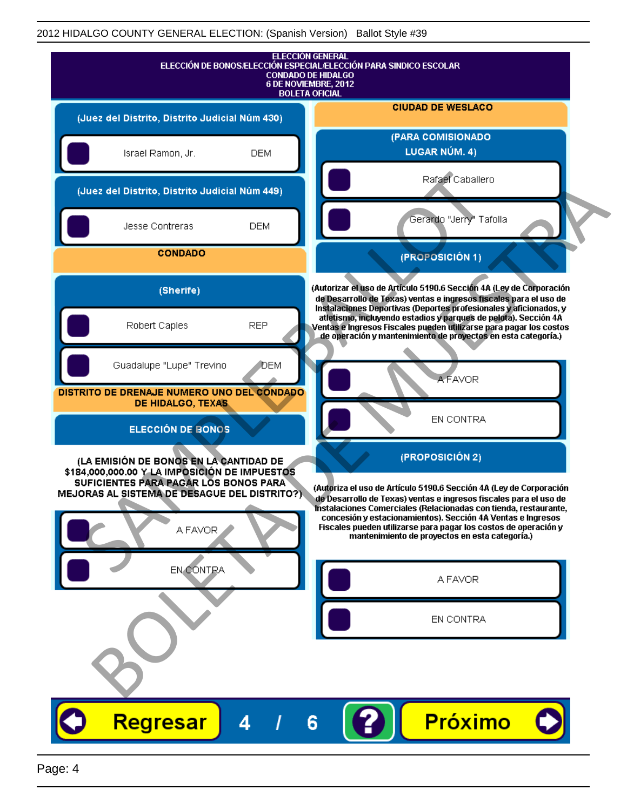| <b>ELECCIÓN GENERAL</b><br>ELECCIÓN DE BONOS/ELECCIÓN ESPECIAL/ELECCIÓN PARA SINDICO ESCOLAR<br><b>CONDADO DE HIDALGO</b><br>6 DE NOVIEMBRE, 2012<br><b>BOLETA OFICIAL</b>                                                                                                                                                                                                                                                                                                                          |                                                                                                                                                                                                                                                                             |
|-----------------------------------------------------------------------------------------------------------------------------------------------------------------------------------------------------------------------------------------------------------------------------------------------------------------------------------------------------------------------------------------------------------------------------------------------------------------------------------------------------|-----------------------------------------------------------------------------------------------------------------------------------------------------------------------------------------------------------------------------------------------------------------------------|
| (Juez del Distrito, Distrito Judicial Núm 430)                                                                                                                                                                                                                                                                                                                                                                                                                                                      | <b>CIUDAD DE WESLACO</b>                                                                                                                                                                                                                                                    |
| Israel Ramon, Jr.<br><b>DEM</b>                                                                                                                                                                                                                                                                                                                                                                                                                                                                     | (PARA COMISIONADO<br><b>LUGAR NÚM. 4)</b>                                                                                                                                                                                                                                   |
| (Juez del Distrito, Distrito Judicial Núm 449)                                                                                                                                                                                                                                                                                                                                                                                                                                                      | Rafael Caballero                                                                                                                                                                                                                                                            |
| <b>DEM</b><br>Jesse Contreras                                                                                                                                                                                                                                                                                                                                                                                                                                                                       | Gerardo "Jerry" Tafolla                                                                                                                                                                                                                                                     |
| <b>CONDADO</b>                                                                                                                                                                                                                                                                                                                                                                                                                                                                                      | (PROPOSICIÓN 1)                                                                                                                                                                                                                                                             |
| (Sherife)                                                                                                                                                                                                                                                                                                                                                                                                                                                                                           | (Autorizar el uso de Artículo 5190.6 Sección 4A (Ley de Corporación<br>de Desarrollo de Texas) ventas e ingresos fiscales para el uso de                                                                                                                                    |
| Robert Caples<br><b>REP</b>                                                                                                                                                                                                                                                                                                                                                                                                                                                                         | Instalaciones Deportivas (Deportes profesionales y aficionados, y<br>atletismo, incluyendo estadios y parques de pelota). Sección 4A<br>Ventas e Ingresos Fiscales pueden utilizarse para pagar los costos<br>de operación y mantenimiento de proyectos en esta categoría.) |
| Guadalupe "Lupe" Trevino                                                                                                                                                                                                                                                                                                                                                                                                                                                                            | DEM<br><b>A FAVOR</b>                                                                                                                                                                                                                                                       |
| DISTRITO DE DRENAJE NUMERO UNO DEL CONDADO<br>DE HIDALGO, TEXAS                                                                                                                                                                                                                                                                                                                                                                                                                                     |                                                                                                                                                                                                                                                                             |
| <b>ELECCIÓN DE BONOS</b>                                                                                                                                                                                                                                                                                                                                                                                                                                                                            | EN CONTRA                                                                                                                                                                                                                                                                   |
| (PROPOSICIÓN 2)<br>(LA EMISIÓN DE BONOS EN LA CANTIDAD DE<br>\$184,000,000.00 Y LA IMPOSICIÓN DE IMPUESTOS                                                                                                                                                                                                                                                                                                                                                                                          |                                                                                                                                                                                                                                                                             |
| SUFICIENTES PARA PAGAR LOS BONOS PARA<br>(Autoriza el uso de Artículo 5190.6 Sección 4A (Ley de Corporación<br>MEJORAS AL SISTEMA DE DESAGUE DEL DISTRITO?)<br>de Desarrollo de Texas) ventas e ingresos fiscales para el uso de<br>Instalaciones Comerciales (Relacionadas con tienda, restaurante,<br>concesión y estacionamientos). Sección 4A Ventas e Ingresos<br>Fiscales pueden utilizarse para pagar los costos de operación y<br>A FAVOR<br>mantenimiento de proyectos en esta categoría.) |                                                                                                                                                                                                                                                                             |
| EN CONTRA                                                                                                                                                                                                                                                                                                                                                                                                                                                                                           | A FAVOR                                                                                                                                                                                                                                                                     |
| EN CONTRA                                                                                                                                                                                                                                                                                                                                                                                                                                                                                           |                                                                                                                                                                                                                                                                             |
|                                                                                                                                                                                                                                                                                                                                                                                                                                                                                                     |                                                                                                                                                                                                                                                                             |
| <b>Regresar</b><br>4                                                                                                                                                                                                                                                                                                                                                                                                                                                                                | Próximo<br>6                                                                                                                                                                                                                                                                |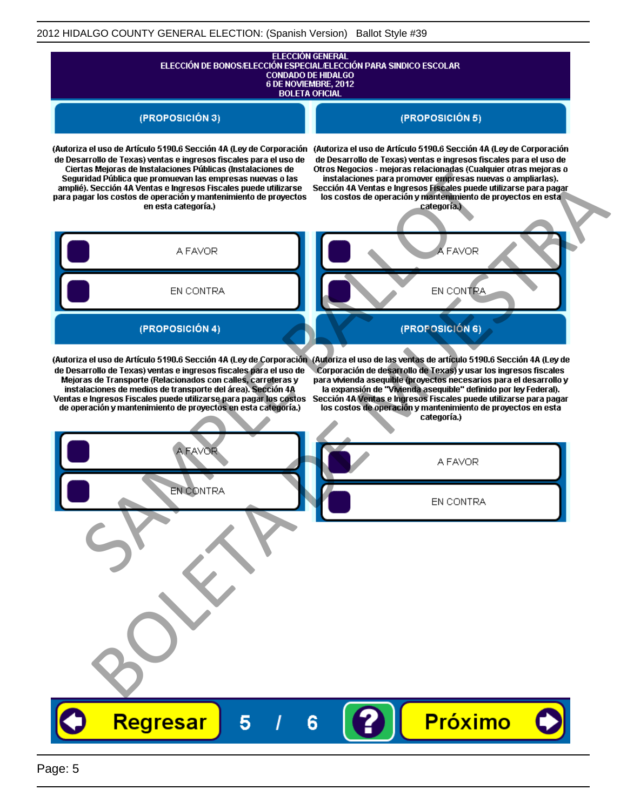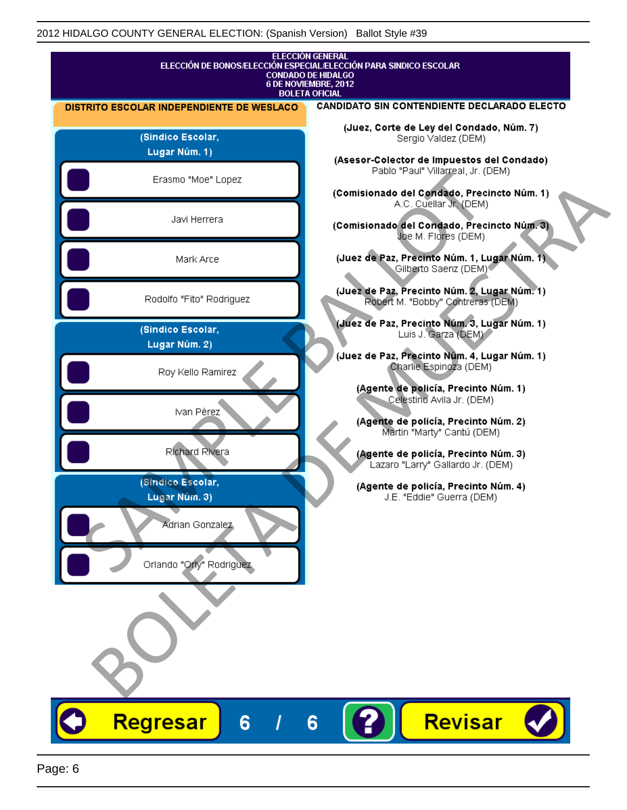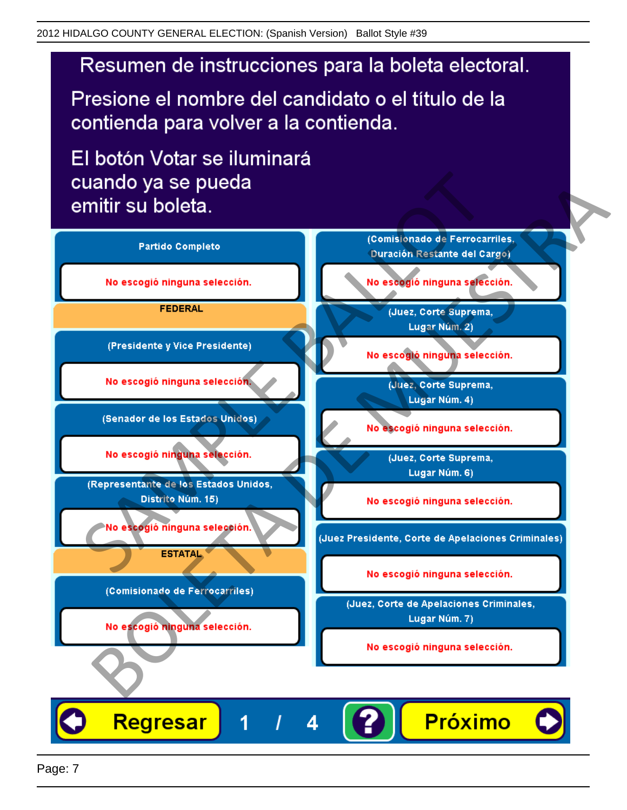Presione el nombre del candidato o el título de la contienda para volver a la contienda.

El botón Votar se iluminará

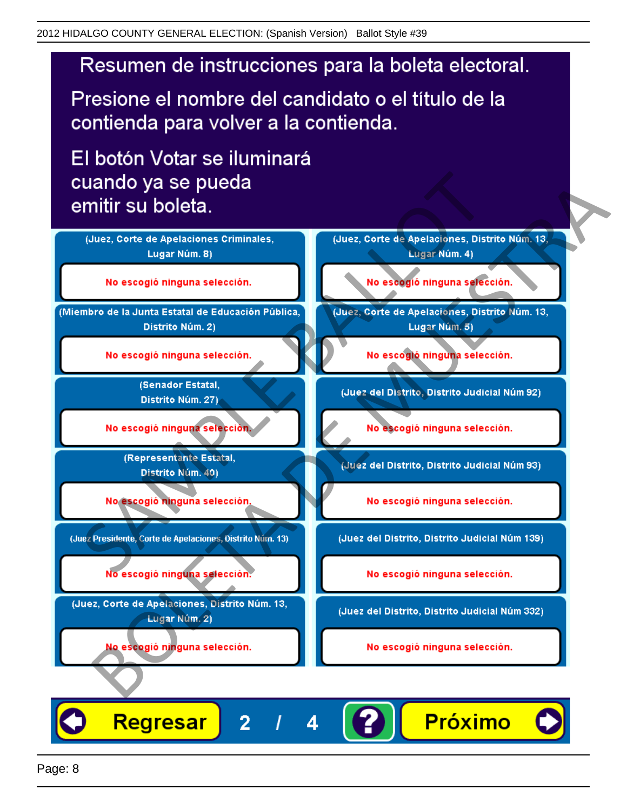Presione el nombre del candidato o el título de la contienda para volver a la contienda.

El botón Votar se iluminará

![](_page_7_Figure_4.jpeg)

4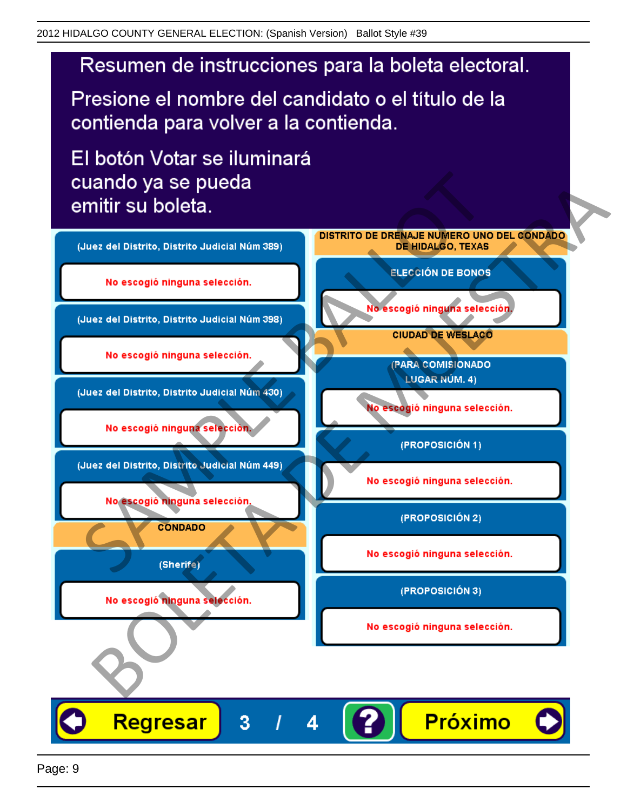Presione el nombre del candidato o el título de la contienda para volver a la contienda.

El botón Votar se iluminará

![](_page_8_Figure_4.jpeg)

4